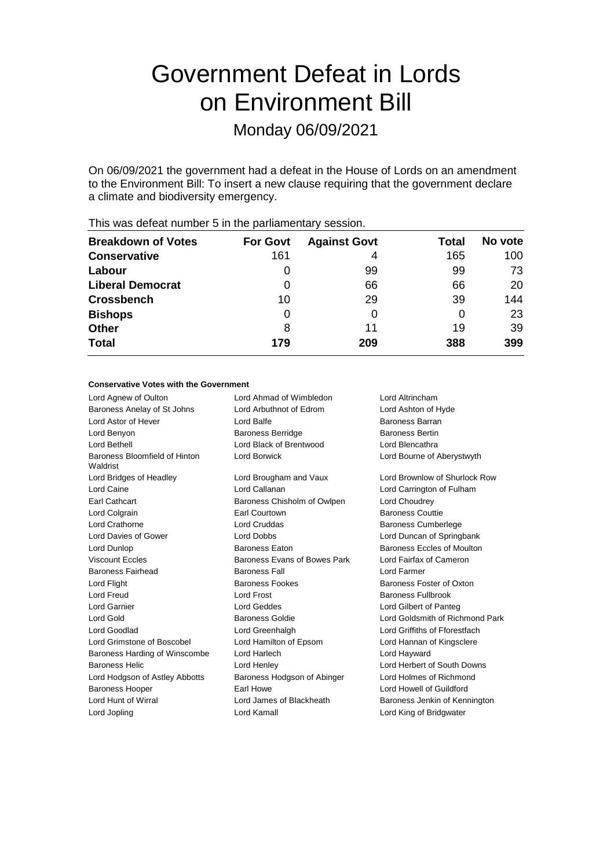# Government Defeat in Lords on Environment Bill

Monday 06/09/2021

On 06/09/2021 the government had a defeat in the House of Lords on an amendment to the Environment Bill: To insert a new clause requiring that the government declare a climate and biodiversity emergency.

| <b>Breakdown of Votes</b> | <b>For Govt</b> | <b>Against Govt</b> | Total | No vote |
|---------------------------|-----------------|---------------------|-------|---------|
| <b>Conservative</b>       | 161             | 4                   | 165   | 100     |
| Labour                    | 0               | 99                  | 99    | 73      |
| <b>Liberal Democrat</b>   | 0               | 66                  | 66    | 20      |
| <b>Crossbench</b>         | 10              | 29                  | 39    | 144     |
| <b>Bishops</b>            | 0               | $\Omega$            | 0     | 23      |
| <b>Other</b>              | 8               | 11                  | 19    | 39      |
| <b>Total</b>              | 179             | 209                 | 388   | 399     |
|                           |                 |                     |       |         |

This was defeat number 5 in the parliamentary session.

#### **Conservative Votes with the Government**

| Lord Agnew of Oulton                      | Lord Ahmad of Wimbledon      | Lord Altrincham                 |  |
|-------------------------------------------|------------------------------|---------------------------------|--|
| Baroness Anelay of St Johns               | Lord Arbuthnot of Edrom      | Lord Ashton of Hyde             |  |
| Lord Astor of Hever                       | Lord Balfe                   | Baroness Barran                 |  |
| Lord Benyon                               | <b>Baroness Berridge</b>     | <b>Baroness Bertin</b>          |  |
| Lord Bethell                              | Lord Black of Brentwood      | Lord Blencathra                 |  |
| Baroness Bloomfield of Hinton<br>Waldrist | Lord Borwick                 | Lord Bourne of Aberystwyth      |  |
| Lord Bridges of Headley                   | Lord Brougham and Vaux       | Lord Brownlow of Shurlock Row   |  |
| Lord Caine                                | Lord Callanan                | Lord Carrington of Fulham       |  |
| Earl Cathcart                             | Baroness Chisholm of Owlpen  | Lord Choudrey                   |  |
| Lord Colgrain                             | Earl Courtown                | <b>Baroness Couttie</b>         |  |
| Lord Crathorne                            | Lord Cruddas                 | <b>Baroness Cumberlege</b>      |  |
| Lord Davies of Gower                      | Lord Dobbs                   | Lord Duncan of Springbank       |  |
| Lord Dunlop                               | <b>Baroness Eaton</b>        | Baroness Eccles of Moulton      |  |
| Viscount Feeles                           | Baroness Evans of Bowes Park | Lord Fairfax of Cameron         |  |
| Baroness Fairhead                         | <b>Baroness Fall</b>         | Lord Farmer                     |  |
| Lord Flight                               | <b>Baroness Fookes</b>       | Baroness Foster of Oxton        |  |
| Lord Freud                                | Lord Frost                   | Baroness Fullbrook              |  |
| Lord Garnier                              | Lord Geddes                  | Lord Gilbert of Panteg          |  |
| Lord Gold                                 | <b>Baroness Goldie</b>       | Lord Goldsmith of Richmond Park |  |
| Lord Goodlad                              | Lord Greenhalgh              | Lord Griffiths of Fforestfach   |  |
| Lord Grimstone of Boscobel                | Lord Hamilton of Epsom       | Lord Hannan of Kingsclere       |  |
| Baroness Harding of Winscombe             | Lord Harlech                 | Lord Hayward                    |  |
| <b>Baroness Helic</b>                     | Lord Henley                  | Lord Herbert of South Downs     |  |
| Lord Hodgson of Astley Abbotts            | Baroness Hodgson of Abinger  | Lord Holmes of Richmond         |  |
| <b>Baroness Hooper</b>                    | Earl Howe                    | Lord Howell of Guildford        |  |
| Lord Hunt of Wirral                       | Lord James of Blackheath     | Baroness Jenkin of Kennington   |  |
| Lord Jopling                              | Lord Kamall                  | Lord King of Bridgwater         |  |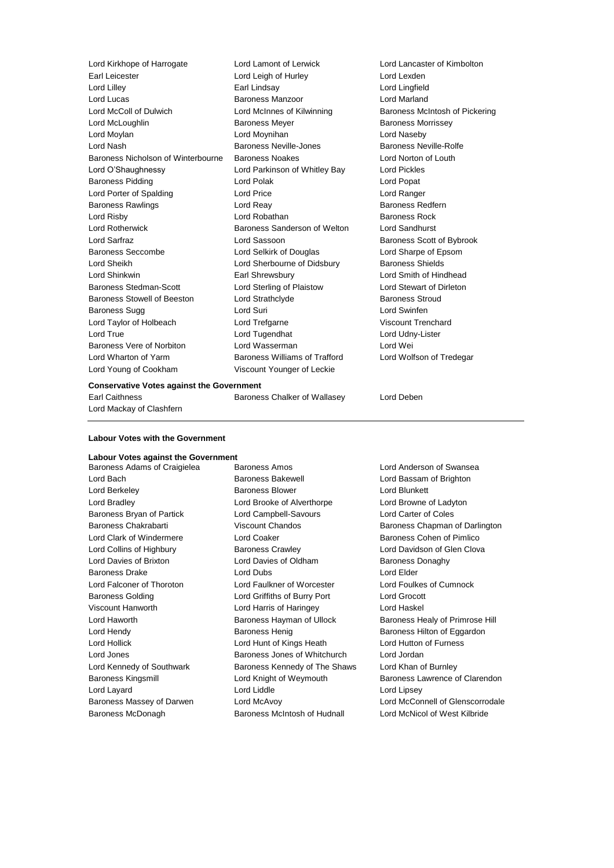| Lord Kirkhope of Harrogate         | Lord Lamont of Lerwick        | Lord Lancaster of Kimbolton    |
|------------------------------------|-------------------------------|--------------------------------|
| Earl Leicester                     | Lord Leigh of Hurley          | Lord Lexden                    |
| Lord Lilley                        | Earl Lindsay                  | Lord Lingfield                 |
| Lord Lucas                         | Baroness Manzoor              | <b>Lord Marland</b>            |
| Lord McColl of Dulwich             | Lord McInnes of Kilwinning    | Baroness McIntosh of Pickering |
| Lord McLoughlin                    | <b>Baroness Meyer</b>         | <b>Baroness Morrissey</b>      |
| Lord Moylan                        | Lord Moynihan                 | Lord Naseby                    |
| Lord Nash                          | Baroness Neville-Jones        | Baroness Neville-Rolfe         |
| Baroness Nicholson of Winterbourne | <b>Baroness Noakes</b>        | Lord Norton of Louth           |
| Lord O'Shaughnessy                 | Lord Parkinson of Whitley Bay | <b>Lord Pickles</b>            |
| <b>Baroness Pidding</b>            | Lord Polak                    | Lord Popat                     |
| Lord Porter of Spalding            | Lord Price                    | Lord Ranger                    |
| <b>Baroness Rawlings</b>           | Lord Reay                     | Baroness Redfern               |
| Lord Risby                         | Lord Robathan                 | <b>Baroness Rock</b>           |
| <b>Lord Rotherwick</b>             | Baroness Sanderson of Welton  | Lord Sandhurst                 |
| Lord Sarfraz                       | Lord Sassoon                  | Baroness Scott of Bybrook      |
| Baroness Seccombe                  | Lord Selkirk of Douglas       | Lord Sharpe of Epsom           |
| Lord Sheikh                        | Lord Sherbourne of Didsbury   | <b>Baroness Shields</b>        |
| Lord Shinkwin                      | Earl Shrewsbury               | Lord Smith of Hindhead         |
| Baroness Stedman-Scott             | Lord Sterling of Plaistow     | Lord Stewart of Dirleton       |
| <b>Baroness Stowell of Beeston</b> | Lord Strathclyde              | <b>Baroness Stroud</b>         |
| <b>Baroness Sugg</b>               | Lord Suri                     | Lord Swinfen                   |
| Lord Taylor of Holbeach            | Lord Trefgarne                | <b>Viscount Trenchard</b>      |
| Lord True                          | Lord Tugendhat                | Lord Udny-Lister               |
| Baroness Vere of Norbiton          | Lord Wasserman                | Lord Wei                       |
| Lord Wharton of Yarm               | Baroness Williams of Trafford | Lord Wolfson of Tredegar       |
| Lord Young of Cookham              | Viscount Younger of Leckie    |                                |
|                                    |                               |                                |

#### **Conservative Votes against the Government**

Lord Mackay of Clashfern

Earl Caithness Baroness Chalker of Wallasey Lord Deben

#### **Labour Votes with the Government**

# **Labour Votes against the Government**

Baroness Adams of Craigielea Baroness Amos Lord Anderson of Swansea Lord Bach Baroness Bakewell Lord Bassam of Brighton Lord Berkeley **Baroness Blower** Cord Blunkett Lord Bradley Lord Brooke of Alverthorpe Lord Browne of Ladyton Baroness Bryan of Partick Lord Campbell-Savours Lord Carter of Coles Lord Clark of Windermere **Lord Coaker Baroness Cohen of Pimlico** Baroness Cohen of Pimlico Lord Collins of Highbury **Baroness Crawley Collins Clova** Lord Davidson of Glen Clova Lord Davies of Brixton **Lord Davies of Oldham** Baroness Donaghy Baroness Drake Lord Dubs Lord Elder Lord Falconer of Thoroton Lord Faulkner of Worcester Lord Foulkes of Cumnock Baroness Golding Lord Griffiths of Burry Port Lord Grocott Viscount Hanworth Lord Harris of Haringey Lord Haskel Lord Hendy **Baroness Henig** Baroness Henig Baroness Hilton of Eggardon Lord Hollick Lord Hunt of Kings Heath Lord Hutton of Furness Lord Jones Baroness Jones of Whitchurch Lord Jordan Lord Kennedy of Southwark **Baroness Kennedy of The Shaws** Lord Khan of Burnley Lord Layard **Lord Liddle** Lord Liddle **Lord Light** Lord Lipsey

Baroness Chakrabarti Viscount Chandos Baroness Chapman of Darlington Lord Haworth Baroness Hayman of Ullock Baroness Healy of Primrose Hill Baroness Kingsmill Lord Knight of Weymouth Baroness Lawrence of Clarendon Baroness Massey of Darwen Lord McAvoy Lord McConnell of Glenscorrodale Baroness McDonagh Baroness McIntosh of Hudnall Lord McNicol of West Kilbride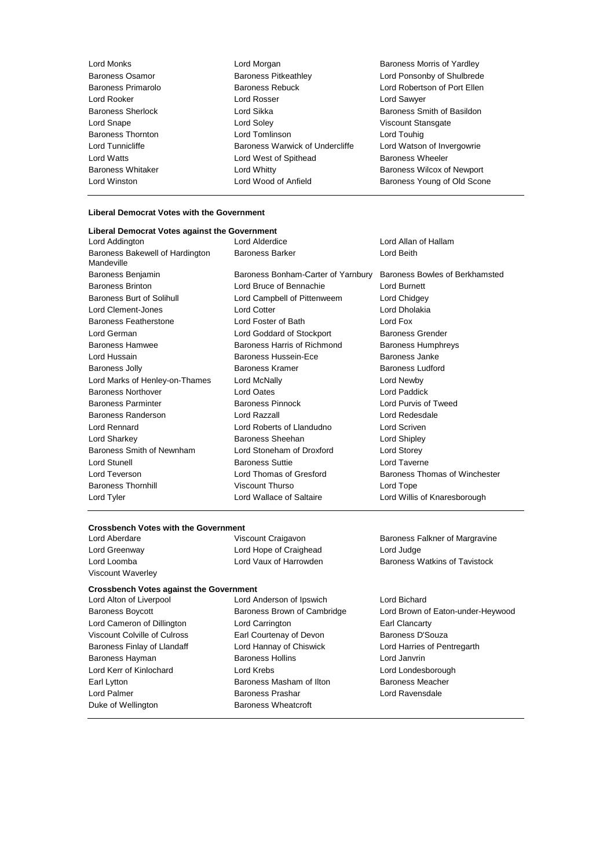Lord Monks Lord Morgan Baroness Morris of Yardley Baroness Osamor **Baroness Pitkeathley** Maroness Primarology of Shulbrede<br>Baroness Primarolo **Baroness Rebuck** Baroness Rebuck Lord Robertson of Port Ellen Baroness Rebuck **Lord Robertson of Port Ellen**<br>
Lord Rosser<br>
Lord Sawver Lord Rooker Lord Rosser Lord Sawyer Baroness Sherlock **Exercise Sherlock** Lord Sikka **Baroness Smith of Basildon**<br>
Lord Snape Cord Soley **Communist Cord Standard Cord Snape** Cord Snape Cord Soley Lord Snape **Lord Soley** Construction Construction Construction Construction Construction Construction Construction Construction Construction Construction Construction Construction Construction Construction Construction Con Baroness Thornton Lord Tomlinson Lord Touhig Lord Tunnicliffe **Baroness Warwick of Undercliffe** Lord Watson of Invergowrie Lord Watts **Lord West of Spithead** Baroness Wheeler<br>
Baroness Whitaker **Lord Whitty** Lord Whitty **Baroness Wilcox** of Lord Whitty **Baroness Wilcox of Newport** Lord Winston Lord Wood of Anfield Baroness Young of Old Scone

## **Liberal Democrat Votes with the Government**

| Liberal Democrat Votes against the Government |                                         |                                |  |
|-----------------------------------------------|-----------------------------------------|--------------------------------|--|
| Lord Addington                                | Lord Alderdice<br>Lord Allan of Hallam  |                                |  |
| Baroness Bakewell of Hardington<br>Mandeville | <b>Baroness Barker</b>                  | Lord Beith                     |  |
| Baroness Benjamin                             | Baroness Bonham-Carter of Yarnbury      | Baroness Bowles of Berkhamsted |  |
| <b>Baroness Brinton</b>                       | Lord Bruce of Bennachie<br>Lord Burnett |                                |  |
| Baroness Burt of Solihull                     | Lord Campbell of Pittenweem             | Lord Chidgey                   |  |
| Lord Clement-Jones                            | <b>Lord Cotter</b>                      | Lord Dholakia                  |  |
| Baroness Featherstone                         | Lord Foster of Bath                     | Lord Fox                       |  |
| Lord German                                   | Lord Goddard of Stockport               | <b>Baroness Grender</b>        |  |
| <b>Baroness Hamwee</b>                        | Baroness Harris of Richmond             | <b>Baroness Humphreys</b>      |  |
| Lord Hussain                                  | Baroness Hussein-Ece                    | Baroness Janke                 |  |
| Baroness Jolly                                | Baroness Kramer                         | Baroness Ludford               |  |
| Lord Marks of Henley-on-Thames                | Lord McNally                            | Lord Newby                     |  |
| <b>Baroness Northover</b>                     | Lord Oates                              | Lord Paddick                   |  |
| <b>Baroness Parminter</b>                     | <b>Baroness Pinnock</b>                 | Lord Purvis of Tweed           |  |
| Baroness Randerson                            | Lord Razzall                            | Lord Redesdale                 |  |
| Lord Rennard                                  | Lord Roberts of Llandudno               | Lord Scriven                   |  |
| Lord Sharkey                                  | Baroness Sheehan                        | Lord Shipley                   |  |
| Baroness Smith of Newnham                     | Lord Stoneham of Droxford               | Lord Storey                    |  |
| Lord Stunell                                  | <b>Baroness Suttie</b>                  | Lord Taverne                   |  |
| Lord Teverson                                 | Lord Thomas of Gresford                 | Baroness Thomas of Winchester  |  |
| <b>Baroness Thornhill</b>                     | Viscount Thurso                         | Lord Tope                      |  |
| Lord Tyler                                    | Lord Wallace of Saltaire                | Lord Willis of Knaresborough   |  |

# **Crossbench Votes with the Government**<br>Lord Aberdare **Viscount Craigavon**

Viscount Waverley

Lord Greenway Lord Hope of Craighead Lord Judge

### **Crossbench Votes against the Government**

Duke of Wellington **Baroness Wheatcroft** 

Lord Alton of Liverpool Lord Anderson of Ipswich Lord Bichard Lord Cameron of Dillington Lord Carrington Carrington Earl Clancarty Viscount Colville of Culross Earl Courtenay of Devon Baroness D'Souza Baroness Finlay of Llandaff **Lord Hannay of Chiswick** Lord Harries of Pentregarth Baroness Hayman **Baroness Hollins Baroness Hollins Lord Janvrin** Lord Kerr of Kinlochard Lord Krebs Lord Londesborough Earl Lytton **Baroness Masham of Ilton** Baroness Meacher Lord Palmer **Baroness Prashar** Baroness Prashar Lord Ravensdale

Baroness Falkner of Margravine Lord Loomba **Lord Vaux of Harrowden** Baroness Watkins of Tavistock

Baroness Boycott **Baroness Brown of Cambridge** Lord Brown of Eaton-under-Heywood